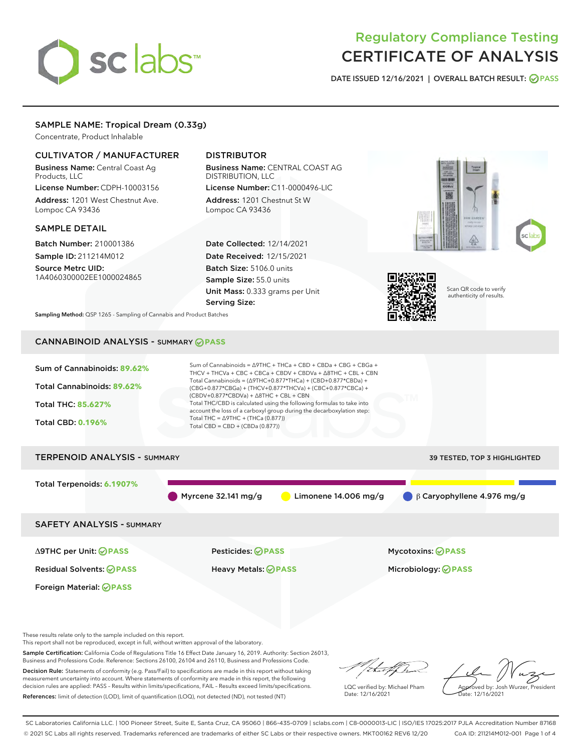# sclabs

# Regulatory Compliance Testing CERTIFICATE OF ANALYSIS

DATE ISSUED 12/16/2021 | OVERALL BATCH RESULT: @ PASS

# SAMPLE NAME: Tropical Dream (0.33g)

Concentrate, Product Inhalable

# CULTIVATOR / MANUFACTURER

Business Name: Central Coast Ag Products, LLC License Number: CDPH-10003156

Address: 1201 West Chestnut Ave. Lompoc CA 93436

# SAMPLE DETAIL

Batch Number: 210001386 Sample ID: 211214M012

Source Metrc UID: 1A4060300002EE1000024865

# DISTRIBUTOR

Business Name: CENTRAL COAST AG DISTRIBUTION, LLC License Number: C11-0000496-LIC

Address: 1201 Chestnut St W Lompoc CA 93436

Date Collected: 12/14/2021 Date Received: 12/15/2021 Batch Size: 5106.0 units Sample Size: 55.0 units Unit Mass: 0.333 grams per Unit Serving Size:





Scan QR code to verify authenticity of results.

Sampling Method: QSP 1265 - Sampling of Cannabis and Product Batches

# CANNABINOID ANALYSIS - SUMMARY **PASS**



These results relate only to the sample included on this report.

This report shall not be reproduced, except in full, without written approval of the laboratory.

Sample Certification: California Code of Regulations Title 16 Effect Date January 16, 2019. Authority: Section 26013, Business and Professions Code. Reference: Sections 26100, 26104 and 26110, Business and Professions Code.

Decision Rule: Statements of conformity (e.g. Pass/Fail) to specifications are made in this report without taking measurement uncertainty into account. Where statements of conformity are made in this report, the following decision rules are applied: PASS – Results within limits/specifications, FAIL – Results exceed limits/specifications. References: limit of detection (LOD), limit of quantification (LOQ), not detected (ND), not tested (NT)

that f In

LQC verified by: Michael Pham Date: 12/16/2021

Approved by: Josh Wurzer, President Date: 12/16/2021

SC Laboratories California LLC. | 100 Pioneer Street, Suite E, Santa Cruz, CA 95060 | 866-435-0709 | sclabs.com | C8-0000013-LIC | ISO/IES 17025:2017 PJLA Accreditation Number 87168 © 2021 SC Labs all rights reserved. Trademarks referenced are trademarks of either SC Labs or their respective owners. MKT00162 REV6 12/20 CoA ID: 211214M012-001 Page 1 of 4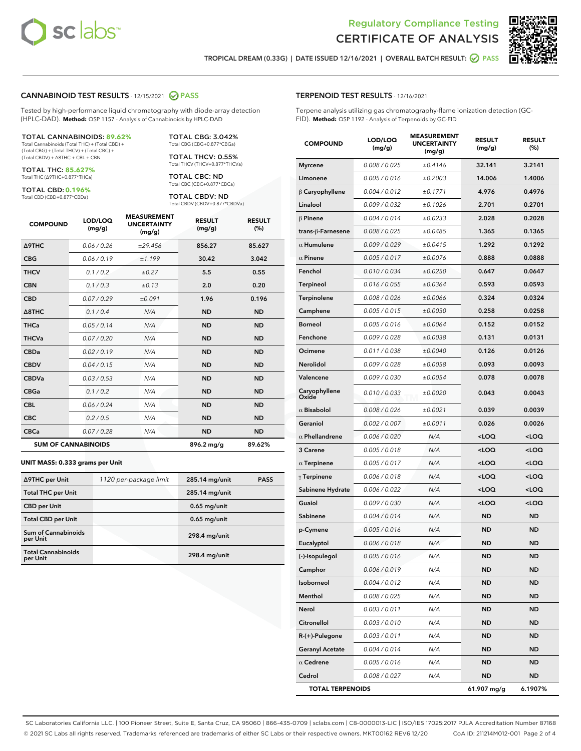

Terpene analysis utilizing gas chromatography-flame ionization detection (GC-

MEASUREMENT



TROPICAL DREAM (0.33G) | DATE ISSUED 12/16/2021 | OVERALL BATCH RESULT: **● PASS** 

TERPENOID TEST RESULTS - 12/16/2021

FID). **Method:** QSP 1192 - Analysis of Terpenoids by GC-FID

#### CANNABINOID TEST RESULTS - 12/15/2021 2 PASS

Tested by high-performance liquid chromatography with diode-array detection (HPLC-DAD). **Method:** QSP 1157 - Analysis of Cannabinoids by HPLC-DAD

#### TOTAL CANNABINOIDS: **89.62%**

Total Cannabinoids (Total THC) + (Total CBD) + (Total CBG) + (Total THCV) + (Total CBC) + (Total CBDV) + ∆8THC + CBL + CBN

TOTAL THC: **85.627%** Total THC (∆9THC+0.877\*THCa)

TOTAL CBD: **0.196%**

Total CBD (CBD+0.877\*CBDa)

TOTAL CBG: 3.042% Total CBG (CBG+0.877\*CBGa)

TOTAL THCV: 0.55% Total THCV (THCV+0.877\*THCVa)

TOTAL CBC: ND Total CBC (CBC+0.877\*CBCa)

TOTAL CBDV: ND Total CBDV (CBDV+0.877\*CBDVa)

| <b>COMPOUND</b>            | LOD/LOQ<br>(mg/g) | <b>MEASUREMENT</b><br><b>UNCERTAINTY</b><br>(mg/g) | <b>RESULT</b><br>(mg/g) | <b>RESULT</b><br>(%) |
|----------------------------|-------------------|----------------------------------------------------|-------------------------|----------------------|
| Δ9THC                      | 0.06 / 0.26       | ±29.456                                            | 856.27                  | 85.627               |
| <b>CBG</b>                 | 0.06 / 0.19       | ±1.199                                             | 30.42                   | 3.042                |
| <b>THCV</b>                | 0.1 / 0.2         | ±0.27                                              | 5.5                     | 0.55                 |
| <b>CBN</b>                 | 0.1/0.3           | ±0.13                                              | 2.0                     | 0.20                 |
| <b>CBD</b>                 | 0.07/0.29         | ±0.091                                             | 1.96                    | 0.196                |
| $\triangle$ 8THC           | 0.1/0.4           | N/A                                                | <b>ND</b>               | <b>ND</b>            |
| <b>THCa</b>                | 0.05/0.14         | N/A                                                | <b>ND</b>               | <b>ND</b>            |
| <b>THCVa</b>               | 0.07/0.20         | N/A                                                | <b>ND</b>               | <b>ND</b>            |
| <b>CBDa</b>                | 0.02/0.19         | N/A                                                | <b>ND</b>               | <b>ND</b>            |
| <b>CBDV</b>                | 0.04 / 0.15       | N/A                                                | <b>ND</b>               | <b>ND</b>            |
| <b>CBDVa</b>               | 0.03/0.53         | N/A                                                | <b>ND</b>               | <b>ND</b>            |
| <b>CBGa</b>                | 0.1 / 0.2         | N/A                                                | <b>ND</b>               | <b>ND</b>            |
| <b>CBL</b>                 | 0.06 / 0.24       | N/A                                                | <b>ND</b>               | <b>ND</b>            |
| <b>CBC</b>                 | 0.2 / 0.5         | N/A                                                | <b>ND</b>               | <b>ND</b>            |
| <b>CBCa</b>                | 0.07/0.28         | N/A                                                | <b>ND</b>               | <b>ND</b>            |
| <b>SUM OF CANNABINOIDS</b> |                   |                                                    | 896.2 mg/g              | 89.62%               |

#### **UNIT MASS: 0.333 grams per Unit**

| ∆9THC per Unit                         | 1120 per-package limit | 285.14 mg/unit  | <b>PASS</b> |
|----------------------------------------|------------------------|-----------------|-------------|
| <b>Total THC per Unit</b>              |                        | 285.14 mg/unit  |             |
| <b>CBD</b> per Unit                    |                        | $0.65$ mg/unit  |             |
| <b>Total CBD per Unit</b>              |                        | $0.65$ mg/unit  |             |
| <b>Sum of Cannabinoids</b><br>per Unit |                        | 298.4 mg/unit   |             |
| <b>Total Cannabinoids</b><br>per Unit  |                        | $298.4$ mg/unit |             |

| <b>COMPOUND</b>         | LOD/LOQ<br>(mg/g) | ASUREIVI<br><b>UNCERTAINTY</b><br>(mg/g) | <b>RESULT</b><br>(mg/g)                         | <b>RESULT</b><br>$(\%)$ |
|-------------------------|-------------------|------------------------------------------|-------------------------------------------------|-------------------------|
| <b>Myrcene</b>          | 0.008 / 0.025     | ±0.4146                                  | 32.141                                          | 3.2141                  |
| Limonene                | 0.005 / 0.016     | ±0.2003                                  | 14.006                                          | 1.4006                  |
| $\beta$ Caryophyllene   | 0.004 / 0.012     | ±0.1771                                  | 4.976                                           | 0.4976                  |
| Linalool                | 0.009 / 0.032     | ±0.1026                                  | 2.701                                           | 0.2701                  |
| $\beta$ Pinene          | 0.004 / 0.014     | ±0.0233                                  | 2.028                                           | 0.2028                  |
| trans-ß-Farnesene       | 0.008 / 0.025     | ±0.0485                                  | 1.365                                           | 0.1365                  |
| $\alpha$ Humulene       | 0.009/0.029       | ±0.0415                                  | 1.292                                           | 0.1292                  |
| $\alpha$ Pinene         | 0.005 / 0.017     | ±0.0076                                  | 0.888                                           | 0.0888                  |
| Fenchol                 | 0.010 / 0.034     | ±0.0250                                  | 0.647                                           | 0.0647                  |
| Terpineol               | 0.016 / 0.055     | ±0.0364                                  | 0.593                                           | 0.0593                  |
| Terpinolene             | 0.008 / 0.026     | ±0.0066                                  | 0.324                                           | 0.0324                  |
| Camphene                | 0.005 / 0.015     | ±0.0030                                  | 0.258                                           | 0.0258                  |
| <b>Borneol</b>          | 0.005 / 0.016     | ±0.0064                                  | 0.152                                           | 0.0152                  |
| Fenchone                | 0.009 / 0.028     | ±0.0038                                  | 0.131                                           | 0.0131                  |
| Ocimene                 | 0.011 / 0.038     | ±0.0040                                  | 0.126                                           | 0.0126                  |
| Nerolidol               | 0.009 / 0.028     | ±0.0058                                  | 0.093                                           | 0.0093                  |
| Valencene               | 0.009 / 0.030     | ±0.0054                                  | 0.078                                           | 0.0078                  |
| Caryophyllene<br>Oxide  | 0.010/0.033       | ±0.0020                                  | 0.043                                           | 0.0043                  |
| $\alpha$ Bisabolol      | 0.008 / 0.026     | ±0.0021                                  | 0.039                                           | 0.0039                  |
| Geraniol                | 0.002 / 0.007     | ±0.0011                                  | 0.026                                           | 0.0026                  |
| $\alpha$ Phellandrene   | 0.006 / 0.020     | N/A                                      | <loq< th=""><th><loq< th=""></loq<></th></loq<> | <loq< th=""></loq<>     |
| 3 Carene                | 0.005 / 0.018     | N/A                                      | <loq< th=""><th><loq< th=""></loq<></th></loq<> | <loq< th=""></loq<>     |
| $\alpha$ Terpinene      | 0.005 / 0.017     | N/A                                      | <loq< th=""><th><loq< th=""></loq<></th></loq<> | <loq< th=""></loq<>     |
| $\gamma$ Terpinene      | 0.006 / 0.018     | N/A                                      | <loq< th=""><th><loq< th=""></loq<></th></loq<> | <loq< th=""></loq<>     |
| Sabinene Hydrate        | 0.006 / 0.022     | N/A                                      | <loq< th=""><th><loq< th=""></loq<></th></loq<> | <loq< th=""></loq<>     |
| Guaiol                  | 0.009 / 0.030     | N/A                                      | <loq< th=""><th><loq< th=""></loq<></th></loq<> | <loq< th=""></loq<>     |
| Sabinene                | 0.004 / 0.014     | N/A                                      | <b>ND</b>                                       | ND                      |
| p-Cymene                | 0.005 / 0.016     | N/A                                      | <b>ND</b>                                       | ND                      |
| Eucalyptol              | 0.006 / 0.018     | N/A                                      | <b>ND</b>                                       | ND                      |
| (-)-Isopulegol          | 0.005 / 0.016     | N/A                                      | <b>ND</b>                                       | ND                      |
| Camphor                 | 0.006 / 0.019     | N/A                                      | ND                                              | ND                      |
| Isoborneol              | 0.004 / 0.012     | N/A                                      | ND                                              | ND                      |
| Menthol                 | 0.008 / 0.025     | N/A                                      | ND                                              | ND                      |
| Nerol                   | 0.003 / 0.011     | N/A                                      | ND                                              | ND                      |
| Citronellol             | 0.003 / 0.010     | N/A                                      | ND                                              | ND                      |
| R-(+)-Pulegone          | 0.003 / 0.011     | N/A                                      | ND                                              | ND                      |
| <b>Geranyl Acetate</b>  | 0.004 / 0.014     | N/A                                      | ND                                              | ND                      |
| $\alpha$ Cedrene        | 0.005 / 0.016     | N/A                                      | ND                                              | ND                      |
| Cedrol                  | 0.008 / 0.027     | N/A                                      | ND                                              | ND                      |
| <b>TOTAL TERPENOIDS</b> |                   |                                          | 61.907 mg/g                                     | 6.1907%                 |

SC Laboratories California LLC. | 100 Pioneer Street, Suite E, Santa Cruz, CA 95060 | 866-435-0709 | sclabs.com | C8-0000013-LIC | ISO/IES 17025:2017 PJLA Accreditation Number 87168 © 2021 SC Labs all rights reserved. Trademarks referenced are trademarks of either SC Labs or their respective owners. MKT00162 REV6 12/20 CoA ID: 211214M012-001 Page 2 of 4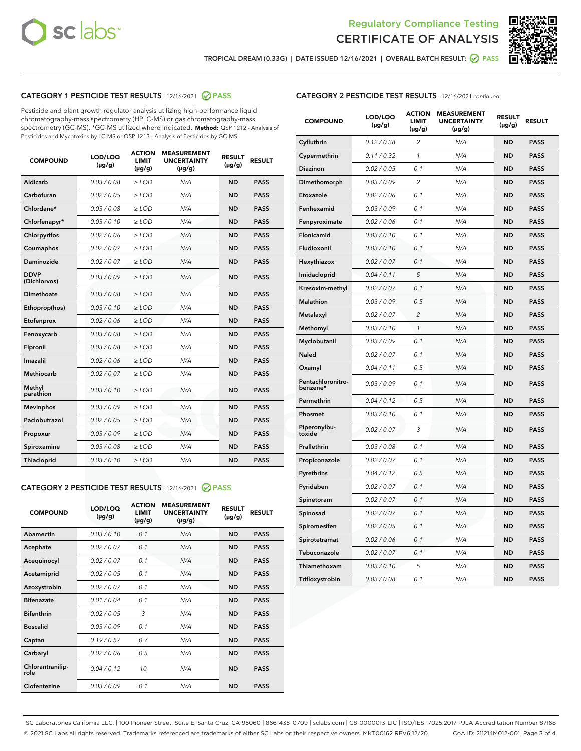



TROPICAL DREAM (0.33G) | DATE ISSUED 12/16/2021 | OVERALL BATCH RESULT: ☑ PASS

# CATEGORY 1 PESTICIDE TEST RESULTS - 12/16/2021 2 PASS

Pesticide and plant growth regulator analysis utilizing high-performance liquid chromatography-mass spectrometry (HPLC-MS) or gas chromatography-mass spectrometry (GC-MS). \*GC-MS utilized where indicated. **Method:** QSP 1212 - Analysis of Pesticides and Mycotoxins by LC-MS or QSP 1213 - Analysis of Pesticides by GC-MS

| <b>COMPOUND</b>             | LOD/LOQ<br>$(\mu g/g)$ | <b>ACTION</b><br><b>LIMIT</b><br>$(\mu g/g)$ | <b>MEASUREMENT</b><br><b>UNCERTAINTY</b><br>$(\mu g/g)$ | <b>RESULT</b><br>$(\mu g/g)$ | <b>RESULT</b> |
|-----------------------------|------------------------|----------------------------------------------|---------------------------------------------------------|------------------------------|---------------|
| Aldicarb                    | 0.03/0.08              | $>$ LOD                                      | N/A                                                     | <b>ND</b>                    | <b>PASS</b>   |
| Carbofuran                  | 0.02 / 0.05            | $\ge$ LOD                                    | N/A                                                     | <b>ND</b>                    | <b>PASS</b>   |
| Chlordane*                  | 0.03 / 0.08            | $\geq$ LOD                                   | N/A                                                     | <b>ND</b>                    | <b>PASS</b>   |
| Chlorfenapyr*               | 0.03/0.10              | $\ge$ LOD                                    | N/A                                                     | <b>ND</b>                    | <b>PASS</b>   |
| Chlorpyrifos                | 0.02 / 0.06            | $\ge$ LOD                                    | N/A                                                     | <b>ND</b>                    | <b>PASS</b>   |
| Coumaphos                   | 0.02 / 0.07            | $\ge$ LOD                                    | N/A                                                     | <b>ND</b>                    | <b>PASS</b>   |
| Daminozide                  | 0.02/0.07              | $>$ LOD                                      | N/A                                                     | <b>ND</b>                    | <b>PASS</b>   |
| <b>DDVP</b><br>(Dichlorvos) | 0.03/0.09              | $\ge$ LOD                                    | N/A                                                     | <b>ND</b>                    | <b>PASS</b>   |
| <b>Dimethoate</b>           | 0.03/0.08              | $\ge$ LOD                                    | N/A                                                     | <b>ND</b>                    | <b>PASS</b>   |
| Ethoprop(hos)               | 0.03/0.10              | $\ge$ LOD                                    | N/A                                                     | <b>ND</b>                    | <b>PASS</b>   |
| Etofenprox                  | 0.02 / 0.06            | $\ge$ LOD                                    | N/A                                                     | <b>ND</b>                    | <b>PASS</b>   |
| Fenoxycarb                  | 0.03/0.08              | $\ge$ LOD                                    | N/A                                                     | <b>ND</b>                    | <b>PASS</b>   |
| Fipronil                    | 0.03/0.08              | $\ge$ LOD                                    | N/A                                                     | <b>ND</b>                    | <b>PASS</b>   |
| Imazalil                    | 0.02 / 0.06            | $>$ LOD                                      | N/A                                                     | <b>ND</b>                    | <b>PASS</b>   |
| Methiocarb                  | 0.02 / 0.07            | $>$ LOD                                      | N/A                                                     | <b>ND</b>                    | <b>PASS</b>   |
| Methyl<br>parathion         | 0.03/0.10              | $>$ LOD                                      | N/A                                                     | <b>ND</b>                    | <b>PASS</b>   |
| <b>Mevinphos</b>            | 0.03/0.09              | $\ge$ LOD                                    | N/A                                                     | <b>ND</b>                    | <b>PASS</b>   |
| Paclobutrazol               | 0.02 / 0.05            | $>$ LOD                                      | N/A                                                     | <b>ND</b>                    | <b>PASS</b>   |
| Propoxur                    | 0.03/0.09              | $\ge$ LOD                                    | N/A                                                     | <b>ND</b>                    | <b>PASS</b>   |
| Spiroxamine                 | 0.03 / 0.08            | $\ge$ LOD                                    | N/A                                                     | <b>ND</b>                    | <b>PASS</b>   |
| Thiacloprid                 | 0.03/0.10              | $\ge$ LOD                                    | N/A                                                     | <b>ND</b>                    | <b>PASS</b>   |

# CATEGORY 2 PESTICIDE TEST RESULTS - 12/16/2021 @ PASS

| <b>COMPOUND</b>          | LOD/LOQ<br>$(\mu g/g)$ | <b>ACTION</b><br><b>LIMIT</b><br>$(\mu g/g)$ | <b>MEASUREMENT</b><br><b>UNCERTAINTY</b><br>$(\mu g/g)$ | <b>RESULT</b><br>$(\mu g/g)$ | <b>RESULT</b> |
|--------------------------|------------------------|----------------------------------------------|---------------------------------------------------------|------------------------------|---------------|
| Abamectin                | 0.03/0.10              | 0.1                                          | N/A                                                     | <b>ND</b>                    | <b>PASS</b>   |
| Acephate                 | 0.02/0.07              | 0.1                                          | N/A                                                     | <b>ND</b>                    | <b>PASS</b>   |
| Acequinocyl              | 0.02/0.07              | 0.1                                          | N/A                                                     | <b>ND</b>                    | <b>PASS</b>   |
| Acetamiprid              | 0.02/0.05              | 0.1                                          | N/A                                                     | <b>ND</b>                    | <b>PASS</b>   |
| Azoxystrobin             | 0.02/0.07              | 0.1                                          | N/A                                                     | <b>ND</b>                    | <b>PASS</b>   |
| <b>Bifenazate</b>        | 0.01/0.04              | 0.1                                          | N/A                                                     | <b>ND</b>                    | <b>PASS</b>   |
| <b>Bifenthrin</b>        | 0.02 / 0.05            | 3                                            | N/A                                                     | <b>ND</b>                    | <b>PASS</b>   |
| <b>Boscalid</b>          | 0.03/0.09              | 0.1                                          | N/A                                                     | <b>ND</b>                    | <b>PASS</b>   |
| Captan                   | 0.19/0.57              | 0.7                                          | N/A                                                     | <b>ND</b>                    | <b>PASS</b>   |
| Carbaryl                 | 0.02/0.06              | 0.5                                          | N/A                                                     | <b>ND</b>                    | <b>PASS</b>   |
| Chlorantranilip-<br>role | 0.04/0.12              | 10                                           | N/A                                                     | <b>ND</b>                    | <b>PASS</b>   |
| Clofentezine             | 0.03/0.09              | 0.1                                          | N/A                                                     | <b>ND</b>                    | <b>PASS</b>   |

| <b>COMPOUND</b>               | LOD/LOQ<br>(µg/g) | <b>ACTION</b><br>LIMIT<br>(µg/g) | <b>MEASUREMENT</b><br><b>UNCERTAINTY</b><br>(µg/g) | <b>RESULT</b><br>(µg/g) | <b>RESULT</b> |
|-------------------------------|-------------------|----------------------------------|----------------------------------------------------|-------------------------|---------------|
| Cyfluthrin                    | 0.12 / 0.38       | $\overline{c}$                   | N/A                                                | <b>ND</b>               | <b>PASS</b>   |
| Cypermethrin                  | 0.11/0.32         | 1                                | N/A                                                | <b>ND</b>               | <b>PASS</b>   |
| Diazinon                      | 0.02 / 0.05       | 0.1                              | N/A                                                | <b>ND</b>               | <b>PASS</b>   |
| Dimethomorph                  | 0.03 / 0.09       | 2                                | N/A                                                | <b>ND</b>               | <b>PASS</b>   |
| Etoxazole                     | 0.02 / 0.06       | 0.1                              | N/A                                                | <b>ND</b>               | <b>PASS</b>   |
| Fenhexamid                    | 0.03 / 0.09       | 0.1                              | N/A                                                | <b>ND</b>               | <b>PASS</b>   |
| Fenpyroximate                 | 0.02 / 0.06       | 0.1                              | N/A                                                | <b>ND</b>               | <b>PASS</b>   |
| Flonicamid                    | 0.03 / 0.10       | 0.1                              | N/A                                                | <b>ND</b>               | <b>PASS</b>   |
| Fludioxonil                   | 0.03 / 0.10       | 0.1                              | N/A                                                | <b>ND</b>               | <b>PASS</b>   |
| Hexythiazox                   | 0.02 / 0.07       | 0.1                              | N/A                                                | <b>ND</b>               | <b>PASS</b>   |
| Imidacloprid                  | 0.04 / 0.11       | 5                                | N/A                                                | <b>ND</b>               | <b>PASS</b>   |
| Kresoxim-methyl               | 0.02 / 0.07       | 0.1                              | N/A                                                | <b>ND</b>               | <b>PASS</b>   |
| Malathion                     | 0.03 / 0.09       | 0.5                              | N/A                                                | <b>ND</b>               | <b>PASS</b>   |
| Metalaxyl                     | 0.02 / 0.07       | 2                                | N/A                                                | <b>ND</b>               | <b>PASS</b>   |
| Methomyl                      | 0.03 / 0.10       | $\mathcal{I}$                    | N/A                                                | <b>ND</b>               | <b>PASS</b>   |
| Myclobutanil                  | 0.03 / 0.09       | 0.1                              | N/A                                                | <b>ND</b>               | <b>PASS</b>   |
| Naled                         | 0.02 / 0.07       | 0.1                              | N/A                                                | <b>ND</b>               | <b>PASS</b>   |
| Oxamyl                        | 0.04 / 0.11       | 0.5                              | N/A                                                | <b>ND</b>               | <b>PASS</b>   |
| Pentachloronitro-<br>benzene* | 0.03 / 0.09       | 0.1                              | N/A                                                | <b>ND</b>               | <b>PASS</b>   |
| Permethrin                    | 0.04/0.12         | 0.5                              | N/A                                                | <b>ND</b>               | <b>PASS</b>   |
| Phosmet                       | 0.03 / 0.10       | 0.1                              | N/A                                                | <b>ND</b>               | <b>PASS</b>   |
| Piperonylbu-<br>toxide        | 0.02 / 0.07       | 3                                | N/A                                                | <b>ND</b>               | <b>PASS</b>   |
| Prallethrin                   | 0.03 / 0.08       | 0.1                              | N/A                                                | <b>ND</b>               | <b>PASS</b>   |
| Propiconazole                 | 0.02 / 0.07       | 0.1                              | N/A                                                | <b>ND</b>               | <b>PASS</b>   |
| Pyrethrins                    | 0.04 / 0.12       | 0.5                              | N/A                                                | <b>ND</b>               | <b>PASS</b>   |
| Pyridaben                     | 0.02 / 0.07       | 0.1                              | N/A                                                | <b>ND</b>               | <b>PASS</b>   |
| Spinetoram                    | 0.02 / 0.07       | 0.1                              | N/A                                                | <b>ND</b>               | <b>PASS</b>   |
| Spinosad                      | 0.02 / 0.07       | 0.1                              | N/A                                                | <b>ND</b>               | <b>PASS</b>   |
| Spiromesifen                  | 0.02 / 0.05       | 0.1                              | N/A                                                | <b>ND</b>               | <b>PASS</b>   |
| Spirotetramat                 | 0.02 / 0.06       | 0.1                              | N/A                                                | ND                      | <b>PASS</b>   |
| Tebuconazole                  | 0.02 / 0.07       | 0.1                              | N/A                                                | <b>ND</b>               | <b>PASS</b>   |
| Thiamethoxam                  | 0.03 / 0.10       | 5                                | N/A                                                | <b>ND</b>               | <b>PASS</b>   |
| Trifloxystrobin               | 0.03 / 0.08       | 0.1                              | N/A                                                | <b>ND</b>               | <b>PASS</b>   |

SC Laboratories California LLC. | 100 Pioneer Street, Suite E, Santa Cruz, CA 95060 | 866-435-0709 | sclabs.com | C8-0000013-LIC | ISO/IES 17025:2017 PJLA Accreditation Number 87168 © 2021 SC Labs all rights reserved. Trademarks referenced are trademarks of either SC Labs or their respective owners. MKT00162 REV6 12/20 CoA ID: 211214M012-001 Page 3 of 4